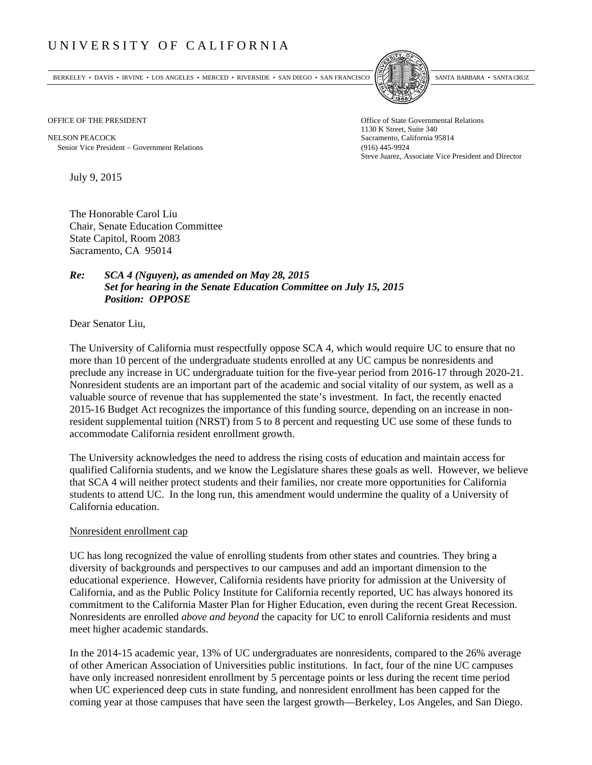## UNIVERSITY OF CALIFORNIA

BERKELEY • DAVIS • IRVINE • LOS ANGELES • MERCED • RIVERSIDE • SAN DIEGO • SAN FRANCISCO SANTA BARBARA • SANTA CRUZ



1130 K Street, Suite 340 Steve Juarez, Associate Vice President and Director

OFFICE OF THE PRESIDENT STATES OF THE PRESIDENT

NELSON PEACOCK Sacramento, California 95814 Senior Vice President Government Relations (916) 445-9924

July 9, 2015

The Honorable Carol Liu Chair, Senate Education Committee State Capitol, Room 2083 Sacramento, CA 95014

## *Re: SCA 4 (Nguyen), as amended on May 28, 2015 Set for hearing in the Senate Education Committee on July 15, 2015 Position: OPPOSE*

Dear Senator Liu,

The University of California must respectfully oppose SCA 4, which would require UC to ensure that no more than 10 percent of the undergraduate students enrolled at any UC campus be nonresidents and preclude any increase in UC undergraduate tuition for the five-year period from 2016-17 through 2020-21. Nonresident students are an important part of the academic and social vitality of our system, as well as a valuable source of revenue that has supplemented the state's investment. In fact, the recently enacted 2015-16 Budget Act recognizes the importance of this funding source, depending on an increase in nonresident supplemental tuition (NRST) from 5 to 8 percent and requesting UC use some of these funds to accommodate California resident enrollment growth.

The University acknowledges the need to address the rising costs of education and maintain access for qualified California students, and we know the Legislature shares these goals as well. However, we believe that SCA 4 will neither protect students and their families, nor create more opportunities for California students to attend UC. In the long run, this amendment would undermine the quality of a University of California education.

## Nonresident enrollment cap

UC has long recognized the value of enrolling students from other states and countries. They bring a diversity of backgrounds and perspectives to our campuses and add an important dimension to the educational experience. However, California residents have priority for admission at the University of California, and as the Public Policy Institute for California recently reported, UC has always honored its commitment to the California Master Plan for Higher Education, even during the recent Great Recession. Nonresidents are enrolled *above and beyond* the capacity for UC to enroll California residents and must meet higher academic standards.

In the 2014-15 academic year, 13% of UC undergraduates are nonresidents, compared to the 26% average of other American Association of Universities public institutions. In fact, four of the nine UC campuses have only increased nonresident enrollment by 5 percentage points or less during the recent time period when UC experienced deep cuts in state funding, and nonresident enrollment has been capped for the coming year at those campuses that have seen the largest growth—Berkeley, Los Angeles, and San Diego.